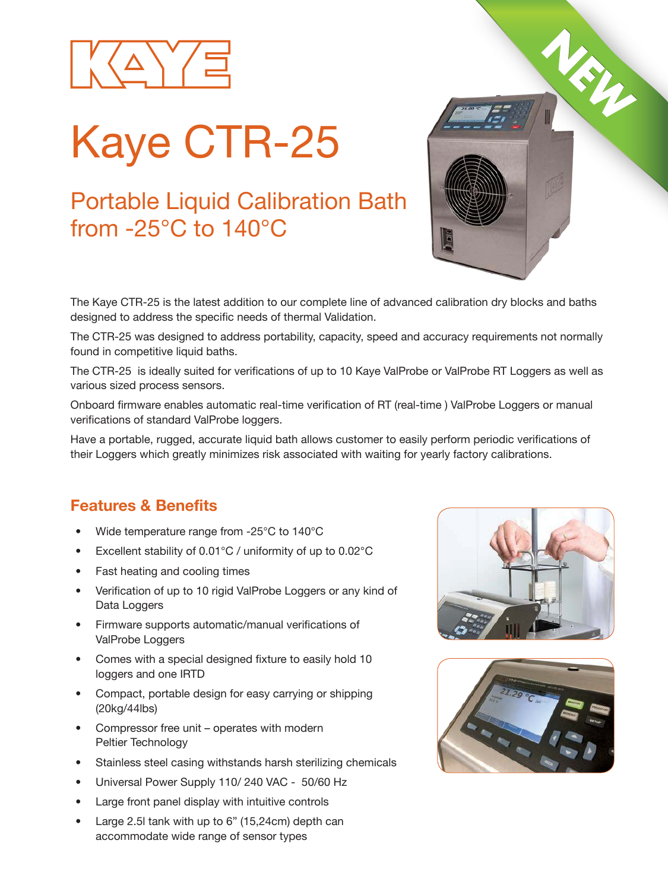

# Kaye CTR-25

### Portable Liquid Calibration Bath from -25°C to 140°C

The Kaye CTR-25 is the latest addition to our complete line of advanced calibration dry blocks and baths designed to address the specific needs of thermal Validation.

The CTR-25 was designed to address portability, capacity, speed and accuracy requirements not normally found in competitive liquid baths.

The CTR-25 is ideally suited for verifications of up to 10 Kaye ValProbe or ValProbe RT Loggers as well as various sized process sensors.

Onboard firmware enables automatic real-time verification of RT (real-time ) ValProbe Loggers or manual verifications of standard ValProbe loggers.

Have a portable, rugged, accurate liquid bath allows customer to easily perform periodic verifications of their Loggers which greatly minimizes risk associated with waiting for yearly factory calibrations.

### **Features & Benefits**

- Wide temperature range from -25°C to 140°C
- Excellent stability of 0.01°C / uniformity of up to 0.02°C
- Fast heating and cooling times
- Verification of up to 10 rigid ValProbe Loggers or any kind of Data Loggers
- Firmware supports automatic/manual verifications of ValProbe Loggers
- Comes with a special designed fixture to easily hold 10 loggers and one IRTD
- Compact, portable design for easy carrying or shipping (20kg/44lbs)
- Compressor free unit operates with modern Peltier Technology
- Stainless steel casing withstands harsh sterilizing chemicals
- Universal Power Supply 110/ 240 VAC 50/60 Hz
- Large front panel display with intuitive controls
- Large 2.5I tank with up to 6" (15,24cm) depth can accommodate wide range of sensor types





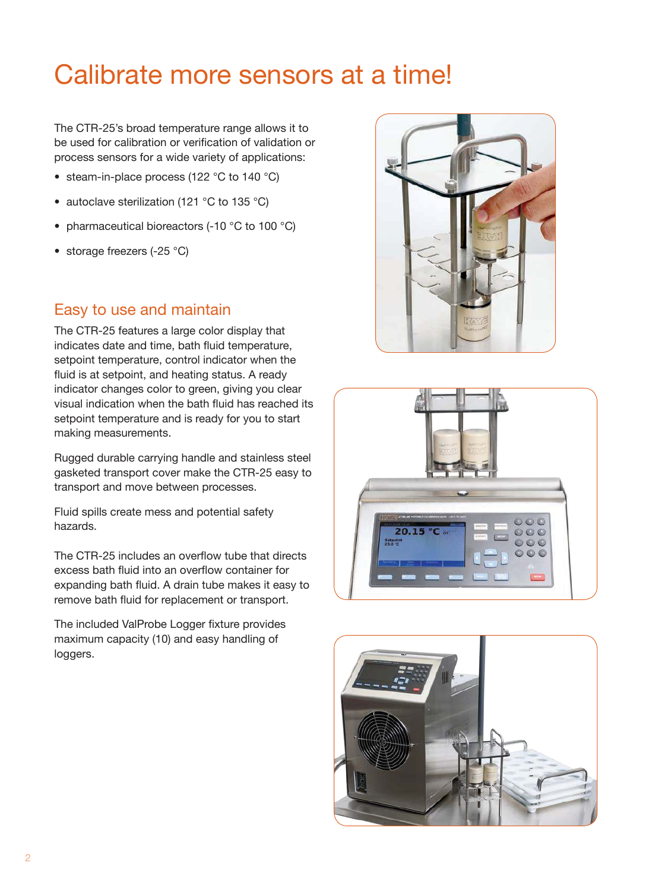### Calibrate more sensors at a time!

The CTR-25's broad temperature range allows it to be used for calibration or verification of validation or process sensors for a wide variety of applications:

- steam-in-place process (122 °C to 140 °C)
- autoclave sterilization (121 °C to 135 °C)
- pharmaceutical bioreactors (-10 °C to 100 °C)
- storage freezers (-25 °C)

### Easy to use and maintain

The CTR-25 features a large color display that indicates date and time, bath fluid temperature, setpoint temperature, control indicator when the fluid is at setpoint, and heating status. A ready indicator changes color to green, giving you clear visual indication when the bath fluid has reached its setpoint temperature and is ready for you to start making measurements.

Rugged durable carrying handle and stainless steel gasketed transport cover make the CTR-25 easy to transport and move between processes.

Fluid spills create mess and potential safety hazards.

The CTR-25 includes an overflow tube that directs excess bath fluid into an overflow container for expanding bath fluid. A drain tube makes it easy to remove bath fluid for replacement or transport.

The included ValProbe Logger fixture provides maximum capacity (10) and easy handling of loggers.





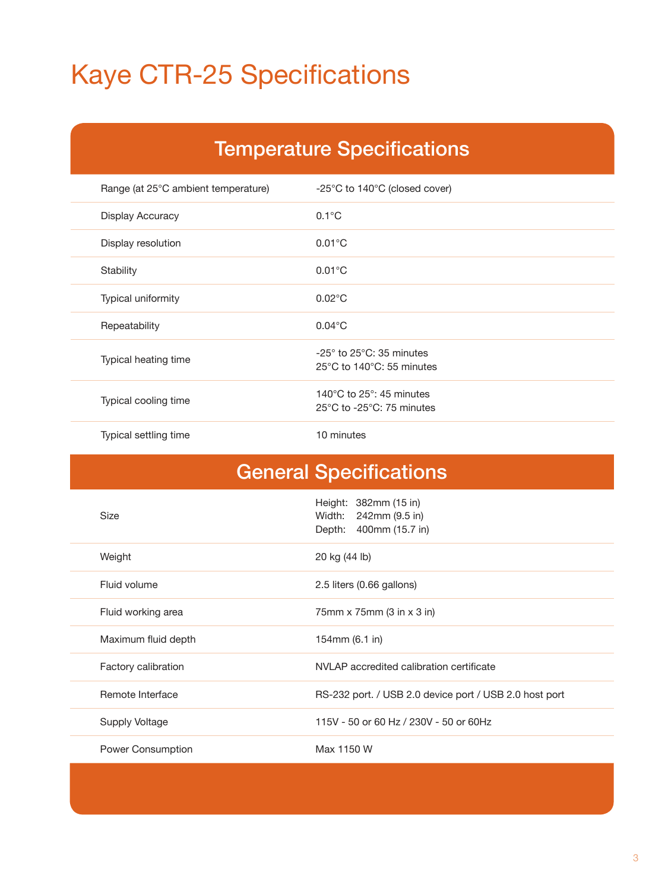## Kaye CTR-25 Specifications

### Temperature Specifications

| Range (at 25°C ambient temperature) | -25°C to 140°C (closed cover)                                                                    |
|-------------------------------------|--------------------------------------------------------------------------------------------------|
| Display Accuracy                    | $0.1^{\circ}$ C                                                                                  |
| Display resolution                  | $0.01^{\circ}$ C                                                                                 |
| Stability                           | $0.01^{\circ}$ C                                                                                 |
| Typical uniformity                  | $0.02^{\circ}$ C                                                                                 |
| Repeatability                       | $0.04$ °C                                                                                        |
| Typical heating time                | $-25^\circ$ to $25^\circ$ C: 35 minutes<br>$25^{\circ}$ C to 140 $^{\circ}$ C: 55 minutes        |
| Typical cooling time                | 140 $^{\circ}$ C to 25 $^{\circ}$ : 45 minutes<br>$25^{\circ}$ C to -25 $^{\circ}$ C: 75 minutes |
| Typical settling time               | 10 minutes                                                                                       |

| <b>General Specifications</b> |                                                                             |  |
|-------------------------------|-----------------------------------------------------------------------------|--|
| <b>Size</b>                   | Height: 382mm (15 in)<br>Width: 242mm (9.5 in)<br>400mm (15.7 in)<br>Depth: |  |
| Weight                        | 20 kg (44 lb)                                                               |  |
| Fluid volume                  | 2.5 liters (0.66 gallons)                                                   |  |
| Fluid working area            | 75mm x 75mm (3 in x 3 in)                                                   |  |
| Maximum fluid depth           | 154mm (6.1 in)                                                              |  |
| Factory calibration           | NVLAP accredited calibration certificate                                    |  |
| Remote Interface              | RS-232 port. / USB 2.0 device port / USB 2.0 host port                      |  |
| Supply Voltage                | 115V - 50 or 60 Hz / 230V - 50 or 60Hz                                      |  |
| Power Consumption             | Max 1150 W                                                                  |  |